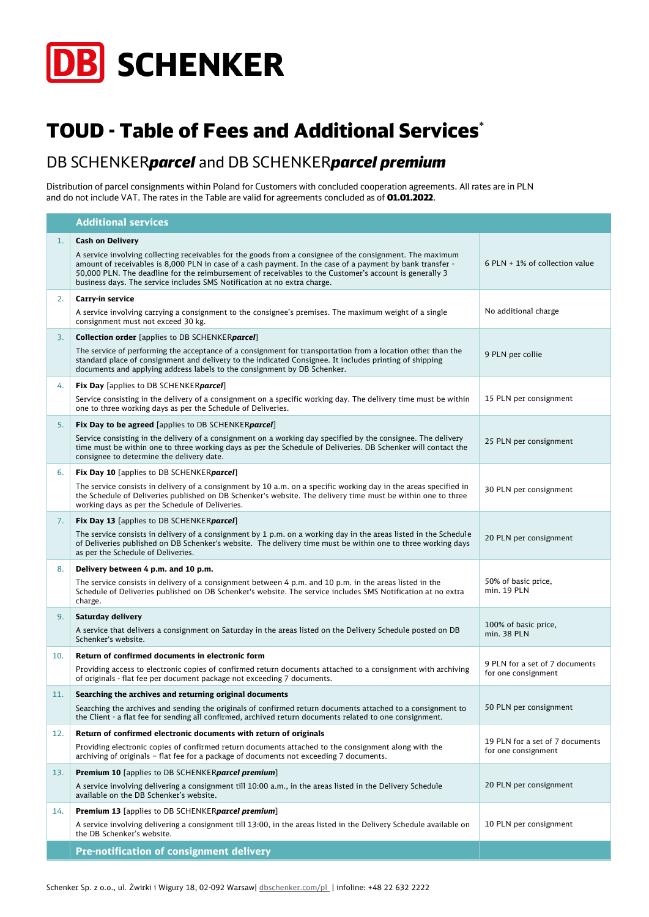

## TOUD - Table of Fees and Additional Services\*

## DB SCHENKER*parcel* and DB SCHENKER*parcel premium*

Distribution of parcel consignments within Poland for Customers with concluded cooperation agreements. All rates are in PLN and do not include VAT. The rates in the Table are valid for agreements concluded as of **01.01.2022**.

|     | <b>Additional services</b>                                                                                                                                                                                                                                                                                                                                                                                   |                                     |
|-----|--------------------------------------------------------------------------------------------------------------------------------------------------------------------------------------------------------------------------------------------------------------------------------------------------------------------------------------------------------------------------------------------------------------|-------------------------------------|
| 1.  | <b>Cash on Delivery</b>                                                                                                                                                                                                                                                                                                                                                                                      |                                     |
|     | A service involving collecting receivables for the goods from a consignee of the consignment. The maximum<br>amount of receivables is 8,000 PLN in case of a cash payment. In the case of a payment by bank transfer -<br>50,000 PLN. The deadline for the reimbursement of receivables to the Customer's account is generally 3<br>business days. The service includes SMS Notification at no extra charge. | 6 PLN $+$ 1% of collection value    |
| 2.  | Carry-in service                                                                                                                                                                                                                                                                                                                                                                                             |                                     |
|     | A service involving carrying a consignment to the consignee's premises. The maximum weight of a single<br>consignment must not exceed 30 kg.                                                                                                                                                                                                                                                                 | No additional charge                |
| 3.  | <b>Collection order</b> [applies to DB SCHENKER <i>parcel</i> ]                                                                                                                                                                                                                                                                                                                                              |                                     |
|     | The service of performing the acceptance of a consignment for transportation from a location other than the<br>standard place of consignment and delivery to the indicated Consignee. It includes printing of shipping<br>documents and applying address labels to the consignment by DB Schenker.                                                                                                           | 9 PLN per collie                    |
| 4.  | <b>Fix Day</b> [applies to DB SCHENKER <i>parcel</i> ]                                                                                                                                                                                                                                                                                                                                                       |                                     |
|     | Service consisting in the delivery of a consignment on a specific working day. The delivery time must be within<br>one to three working days as per the Schedule of Deliveries.                                                                                                                                                                                                                              | 15 PLN per consignment              |
| 5.  | Fix Day to be agreed [applies to DB SCHENKERparcel]                                                                                                                                                                                                                                                                                                                                                          |                                     |
|     | Service consisting in the delivery of a consignment on a working day specified by the consignee. The delivery<br>time must be within one to three working days as per the Schedule of Deliveries. DB Schenker will contact the<br>consignee to determine the delivery date.                                                                                                                                  | 25 PLN per consignment              |
| 6.  | Fix Day 10 [applies to DB SCHENKERparcel]                                                                                                                                                                                                                                                                                                                                                                    |                                     |
|     | The service consists in delivery of a consignment by 10 a.m. on a specific working day in the areas specified in<br>the Schedule of Deliveries published on DB Schenker's website. The delivery time must be within one to three<br>working days as per the Schedule of Deliveries.                                                                                                                          | 30 PLN per consignment              |
| 7.  | Fix Day 13 [applies to DB SCHENKERparce]]                                                                                                                                                                                                                                                                                                                                                                    |                                     |
|     | The service consists in delivery of a consignment by 1 p.m. on a working day in the areas listed in the Schedule<br>of Deliveries published on DB Schenker's website. The delivery time must be within one to three working days<br>as per the Schedule of Deliveries.                                                                                                                                       | 20 PLN per consignment              |
| 8.  | Delivery between 4 p.m. and 10 p.m.                                                                                                                                                                                                                                                                                                                                                                          |                                     |
|     | The service consists in delivery of a consignment between 4 p.m. and 10 p.m. in the areas listed in the<br>Schedule of Deliveries published on DB Schenker's website. The service includes SMS Notification at no extra<br>charge.                                                                                                                                                                           | 50% of basic price,<br>min. 19 PLN  |
| 9.  | Saturday delivery                                                                                                                                                                                                                                                                                                                                                                                            |                                     |
|     | A service that delivers a consignment on Saturday in the areas listed on the Delivery Schedule posted on DB<br>Schenker's website.                                                                                                                                                                                                                                                                           | 100% of basic price,<br>min. 38 PLN |
| 10. | Return of confirmed documents in electronic form                                                                                                                                                                                                                                                                                                                                                             | 9 PLN for a set of 7 documents      |
|     | Providing access to electronic copies of confirmed return documents attached to a consignment with archiving<br>of originals - flat fee per document package not exceeding 7 documents.                                                                                                                                                                                                                      | for one consignment                 |
| 11. | Searching the archives and returning original documents                                                                                                                                                                                                                                                                                                                                                      |                                     |
|     | Searching the archives and sending the originals of confirmed return documents attached to a consignment to<br>the Client - a flat fee for sending all confirmed, archived return documents related to one consignment.                                                                                                                                                                                      | 50 PLN per consignment              |
| 12. | Return of confirmed electronic documents with return of originals                                                                                                                                                                                                                                                                                                                                            | 19 PLN for a set of 7 documents     |
|     | Providing electronic copies of confirmed return documents attached to the consignment along with the<br>archiving of originals - flat fee for a package of documents not exceeding 7 documents.                                                                                                                                                                                                              | for one consignment                 |
| 13. | <b>Premium 10</b> [applies to DB SCHENKER <i>parcel premium</i> ]                                                                                                                                                                                                                                                                                                                                            |                                     |
|     | A service involving delivering a consignment till 10:00 a.m., in the areas listed in the Delivery Schedule<br>available on the DB Schenker's website.                                                                                                                                                                                                                                                        | 20 PLN per consignment              |
| 14. | <b>Premium 13</b> [applies to DB SCHENKER <b>parcel premium</b> ]                                                                                                                                                                                                                                                                                                                                            |                                     |
|     | A service involving delivering a consignment till 13:00, in the areas listed in the Delivery Schedule available on<br>the DB Schenker's website.                                                                                                                                                                                                                                                             | 10 PLN per consignment              |
|     | <b>Pre-notification of consignment delivery</b>                                                                                                                                                                                                                                                                                                                                                              |                                     |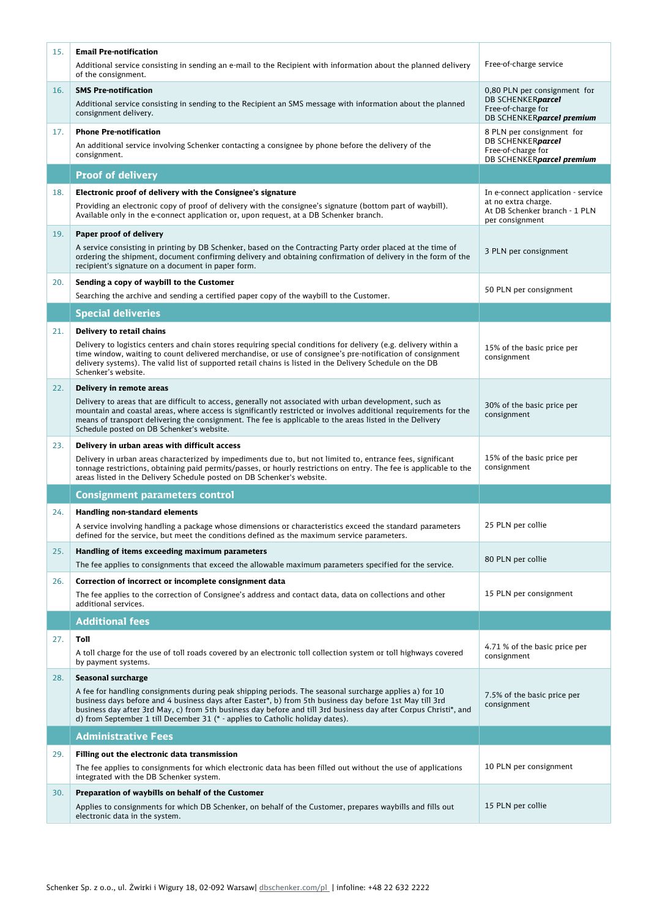| 15. | <b>Email Pre-notification</b>                                                                                                                                                                                                                                                                                                                                                                                           |                                                                                                               |
|-----|-------------------------------------------------------------------------------------------------------------------------------------------------------------------------------------------------------------------------------------------------------------------------------------------------------------------------------------------------------------------------------------------------------------------------|---------------------------------------------------------------------------------------------------------------|
|     | Additional service consisting in sending an e-mail to the Recipient with information about the planned delivery<br>of the consignment.                                                                                                                                                                                                                                                                                  | Free-of-charge service                                                                                        |
| 16. | <b>SMS Pre-notification</b>                                                                                                                                                                                                                                                                                                                                                                                             | 0,80 PLN per consignment for                                                                                  |
|     | Additional service consisting in sending to the Recipient an SMS message with information about the planned<br>consignment delivery.                                                                                                                                                                                                                                                                                    | DB SCHENKERparcel<br>Free-of-charge for<br>DB SCHENKERparcel premium                                          |
| 17. | <b>Phone Pre-notification</b>                                                                                                                                                                                                                                                                                                                                                                                           | 8 PLN per consignment for                                                                                     |
|     | An additional service involving Schenker contacting a consignee by phone before the delivery of the<br>consignment.                                                                                                                                                                                                                                                                                                     | DB SCHENKERparcel<br>Free-of-charge for<br>DB SCHENKERparcel premium                                          |
|     | <b>Proof of delivery</b>                                                                                                                                                                                                                                                                                                                                                                                                |                                                                                                               |
| 18. | Electronic proof of delivery with the Consignee's signature                                                                                                                                                                                                                                                                                                                                                             |                                                                                                               |
|     | Providing an electronic copy of proof of delivery with the consignee's signature (bottom part of waybill).<br>Available only in the e-connect application or, upon request, at a DB Schenker branch.                                                                                                                                                                                                                    | In e-connect application - service<br>at no extra charge.<br>At DB Schenker branch - 1 PLN<br>per consignment |
| 19. | Paper proof of delivery                                                                                                                                                                                                                                                                                                                                                                                                 |                                                                                                               |
|     | A service consisting in printing by DB Schenker, based on the Contracting Party order placed at the time of<br>ordering the shipment, document confirming delivery and obtaining confirmation of delivery in the form of the<br>recipient's signature on a document in paper form.                                                                                                                                      | 3 PLN per consignment                                                                                         |
| 20. | Sending a copy of waybill to the Customer                                                                                                                                                                                                                                                                                                                                                                               |                                                                                                               |
|     | Searching the archive and sending a certified paper copy of the waybill to the Customer.                                                                                                                                                                                                                                                                                                                                | 50 PLN per consignment                                                                                        |
|     | <b>Special deliveries</b>                                                                                                                                                                                                                                                                                                                                                                                               |                                                                                                               |
| 21. | Delivery to retail chains                                                                                                                                                                                                                                                                                                                                                                                               |                                                                                                               |
|     | Delivery to logistics centers and chain stores requiring special conditions for delivery (e.g. delivery within a<br>time window, waiting to count delivered merchandise, or use of consignee's pre-notification of consignment<br>delivery systems). The valid list of supported retail chains is listed in the Delivery Schedule on the DB<br>Schenker's website.                                                      | 15% of the basic price per<br>consignment                                                                     |
| 22. | Delivery in remote areas                                                                                                                                                                                                                                                                                                                                                                                                |                                                                                                               |
|     | Delivery to areas that are difficult to access, generally not associated with urban development, such as<br>mountain and coastal areas, where access is significantly restricted or involves additional requirements for the<br>means of transport delivering the consignment. The fee is applicable to the areas listed in the Delivery<br>Schedule posted on DB Schenker's website.                                   | 30% of the basic price per<br>consignment                                                                     |
| 23. | Delivery in urban areas with difficult access                                                                                                                                                                                                                                                                                                                                                                           |                                                                                                               |
|     | Delivery in urban areas characterized by impediments due to, but not limited to, entrance fees, significant<br>tonnage restrictions, obtaining paid permits/passes, or hourly restrictions on entry. The fee is applicable to the<br>areas listed in the Delivery Schedule posted on DB Schenker's website.                                                                                                             | 15% of the basic price per<br>consignment                                                                     |
|     | <b>Consignment parameters control</b>                                                                                                                                                                                                                                                                                                                                                                                   |                                                                                                               |
| 24. | <b>Handling non-standard elements</b>                                                                                                                                                                                                                                                                                                                                                                                   |                                                                                                               |
|     |                                                                                                                                                                                                                                                                                                                                                                                                                         |                                                                                                               |
|     | A service involving handling a package whose dimensions or characteristics exceed the standard parameters<br>defined for the service, but meet the conditions defined as the maximum service parameters.                                                                                                                                                                                                                | 25 PLN per collie                                                                                             |
| 25. | Handling of items exceeding maximum parameters                                                                                                                                                                                                                                                                                                                                                                          |                                                                                                               |
|     | The fee applies to consignments that exceed the allowable maximum parameters specified for the service.                                                                                                                                                                                                                                                                                                                 | 80 PLN per collie                                                                                             |
| 26. | Correction of incorrect or incomplete consignment data<br>The fee applies to the correction of Consignee's address and contact data, data on collections and other<br>additional services.                                                                                                                                                                                                                              | 15 PLN per consignment                                                                                        |
|     | <b>Additional fees</b>                                                                                                                                                                                                                                                                                                                                                                                                  |                                                                                                               |
| 27. | Toll                                                                                                                                                                                                                                                                                                                                                                                                                    |                                                                                                               |
|     | A toll charge for the use of toll roads covered by an electronic toll collection system or toll highways covered<br>by payment systems.                                                                                                                                                                                                                                                                                 | 4.71 % of the basic price per<br>consignment                                                                  |
| 28. | Seasonal surcharge                                                                                                                                                                                                                                                                                                                                                                                                      |                                                                                                               |
|     | A fee for handling consignments during peak shipping periods. The seasonal surcharge applies a) for 10<br>business days before and 4 business days after Easter*, b) from 5th business day before 1st May till 3rd<br>business day after 3rd May, c) from 5th business day before and till 3rd business day after Corpus Christi*, and<br>d) from September 1 till December 31 (* - applies to Catholic holiday dates). | 7.5% of the basic price per<br>consignment                                                                    |
|     | <b>Administrative Fees</b>                                                                                                                                                                                                                                                                                                                                                                                              |                                                                                                               |
| 29. | Filling out the electronic data transmission                                                                                                                                                                                                                                                                                                                                                                            |                                                                                                               |
|     | The fee applies to consignments for which electronic data has been filled out without the use of applications<br>integrated with the DB Schenker system.                                                                                                                                                                                                                                                                | 10 PLN per consignment                                                                                        |
| 30. | Preparation of waybills on behalf of the Customer<br>Applies to consignments for which DB Schenker, on behalf of the Customer, prepares waybills and fills out                                                                                                                                                                                                                                                          | 15 PLN per collie                                                                                             |